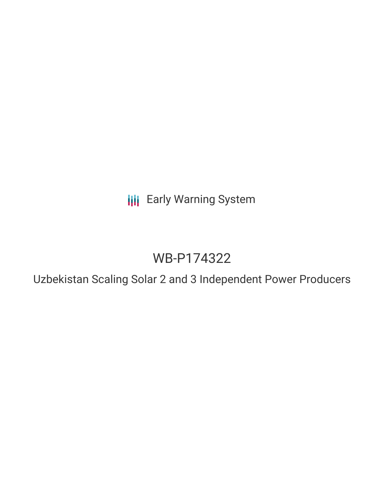**III** Early Warning System

# WB-P174322

Uzbekistan Scaling Solar 2 and 3 Independent Power Producers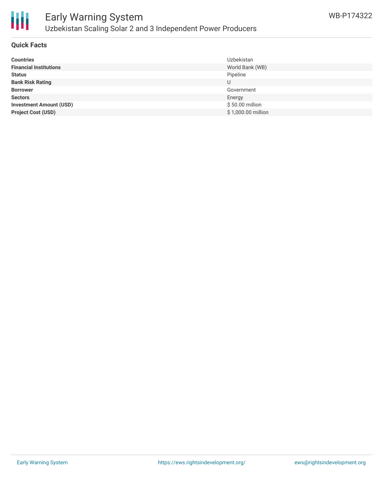

# **Quick Facts**

| <b>Countries</b>               | Uzbekistan         |
|--------------------------------|--------------------|
| <b>Financial Institutions</b>  | World Bank (WB)    |
| <b>Status</b>                  | Pipeline           |
| <b>Bank Risk Rating</b>        | U                  |
| <b>Borrower</b>                | Government         |
| <b>Sectors</b>                 | Energy             |
| <b>Investment Amount (USD)</b> | \$50.00 million    |
| <b>Project Cost (USD)</b>      | \$1,000.00 million |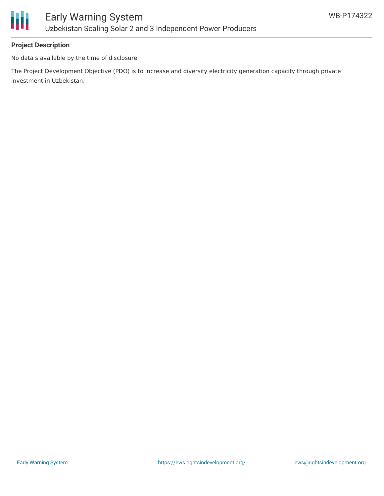

# **Project Description**

No data s available by the time of disclosure.

The Project Development Objective (PDO) is to increase and diversify electricity generation capacity through private investment in Uzbekistan.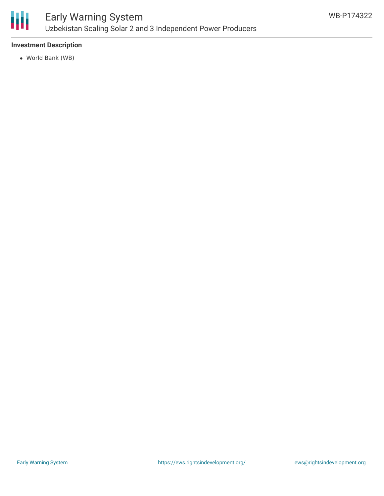

# Early Warning System Uzbekistan Scaling Solar 2 and 3 Independent Power Producers

# **Investment Description**

World Bank (WB)